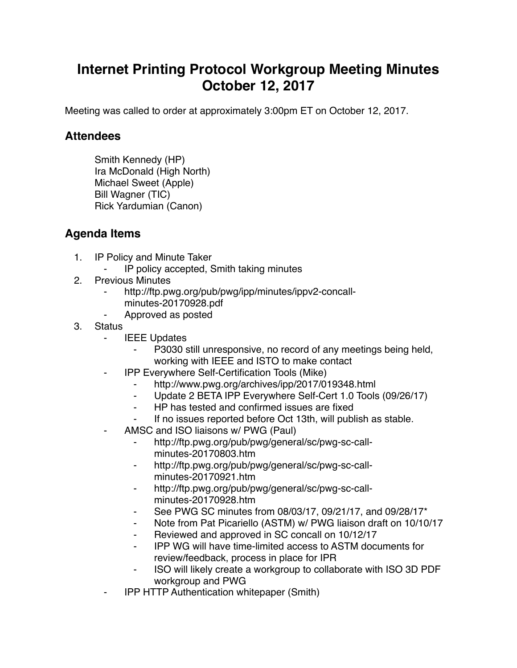## **Internet Printing Protocol Workgroup Meeting Minutes October 12, 2017**

Meeting was called to order at approximately 3:00pm ET on October 12, 2017.

## **Attendees**

Smith Kennedy (HP) Ira McDonald (High North) Michael Sweet (Apple) Bill Wagner (TIC) Rick Yardumian (Canon)

## **Agenda Items**

- 1. IP Policy and Minute Taker
	- ⁃ IP policy accepted, Smith taking minutes
- 2. Previous Minutes
	- http://ftp.pwg.org/pub/pwg/ipp/minutes/ippv2-concallminutes-20170928.pdf
	- ⁃ Approved as posted
- 3. Status
	- **IEEE Updates** 
		- P3030 still unresponsive, no record of any meetings being held, working with IEEE and ISTO to make contact
		- ⁃ IPP Everywhere Self-Certification Tools (Mike)
			- http://www.pwg.org/archives/ipp/2017/019348.html
			- ⁃ Update 2 BETA IPP Everywhere Self-Cert 1.0 Tools (09/26/17)
			- ⁃ HP has tested and confirmed issues are fixed
			- If no issues reported before Oct 13th, will publish as stable.
	- AMSC and ISO liaisons w/ PWG (Paul)
		- ⁃ http://ftp.pwg.org/pub/pwg/general/sc/pwg-sc-callminutes-20170803.htm
		- ⁃ http://ftp.pwg.org/pub/pwg/general/sc/pwg-sc-callminutes-20170921.htm
		- http://ftp.pwg.org/pub/pwg/general/sc/pwg-sc-callminutes-20170928.htm
		- See PWG SC minutes from 08/03/17, 09/21/17, and 09/28/17\*
		- ⁃ Note from Pat Picariello (ASTM) w/ PWG liaison draft on 10/10/17
		- Reviewed and approved in SC concall on 10/12/17
		- ⁃ IPP WG will have time-limited access to ASTM documents for review/feedback, process in place for IPR
		- ⁃ ISO will likely create a workgroup to collaborate with ISO 3D PDF workgroup and PWG
	- **IPP HTTP Authentication whitepaper (Smith)**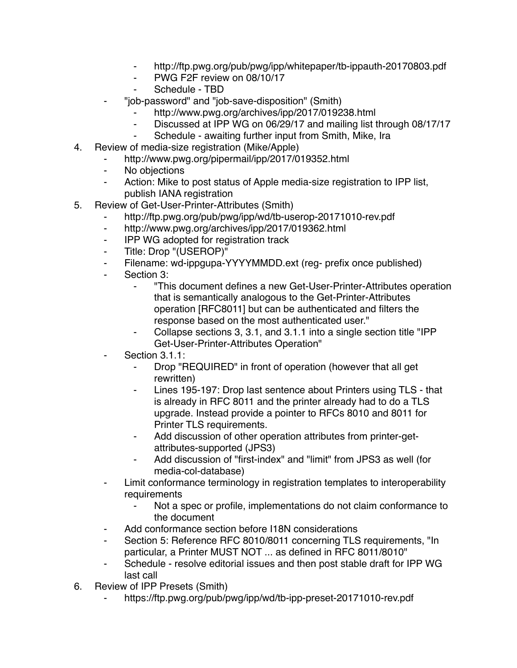- http://ftp.pwg.org/pub/pwg/ipp/whitepaper/tb-ippauth-20170803.pdf
- ⁃ PWG F2F review on 08/10/17
- Schedule TBD
- ⁃ "job-password" and "job-save-disposition" (Smith)
	- http://www.pwg.org/archives/ipp/2017/019238.html
	- Discussed at IPP WG on 06/29/17 and mailing list through 08/17/17
	- ⁃ Schedule awaiting further input from Smith, Mike, Ira
- 4. Review of media-size registration (Mike/Apple)
	- ⁃ http://www.pwg.org/pipermail/ipp/2017/019352.html
	- ⁃ No objections
	- ⁃ Action: Mike to post status of Apple media-size registration to IPP list, publish IANA registration
- 5. Review of Get-User-Printer-Attributes (Smith)
	- http://ftp.pwg.org/pub/pwg/ipp/wd/tb-userop-20171010-rev.pdf
	- ⁃ http://www.pwg.org/archives/ipp/2017/019362.html
	- ⁃ IPP WG adopted for registration track
	- ⁃ Title: Drop "(USEROP)"
	- Filename: wd-ippgupa-YYYYMMDD.ext (reg- prefix once published)
	- Section 3:
		- ⁃ "This document defines a new Get-User-Printer-Attributes operation that is semantically analogous to the Get-Printer-Attributes operation [RFC8011] but can be authenticated and filters the response based on the most authenticated user."
		- Collapse sections 3, 3.1, and 3.1.1 into a single section title "IPP" Get-User-Printer-Attributes Operation"
	- Section 3.1.1:
		- ⁃ Drop "REQUIRED" in front of operation (however that all get rewritten)
		- Lines 195-197: Drop last sentence about Printers using TLS that is already in RFC 8011 and the printer already had to do a TLS upgrade. Instead provide a pointer to RFCs 8010 and 8011 for Printer TLS requirements.
		- Add discussion of other operation attributes from printer-getattributes-supported (JPS3)
		- ⁃ Add discussion of "first-index" and "limit" from JPS3 as well (for media-col-database)
	- ⁃ Limit conformance terminology in registration templates to interoperability requirements
		- Not a spec or profile, implementations do not claim conformance to the document
	- Add conformance section before I18N considerations
	- ⁃ Section 5: Reference RFC 8010/8011 concerning TLS requirements, "In particular, a Printer MUST NOT ... as defined in RFC 8011/8010"
	- ⁃ Schedule resolve editorial issues and then post stable draft for IPP WG last call
- 6. Review of IPP Presets (Smith)
	- https://ftp.pwg.org/pub/pwg/ipp/wd/tb-ipp-preset-20171010-rev.pdf